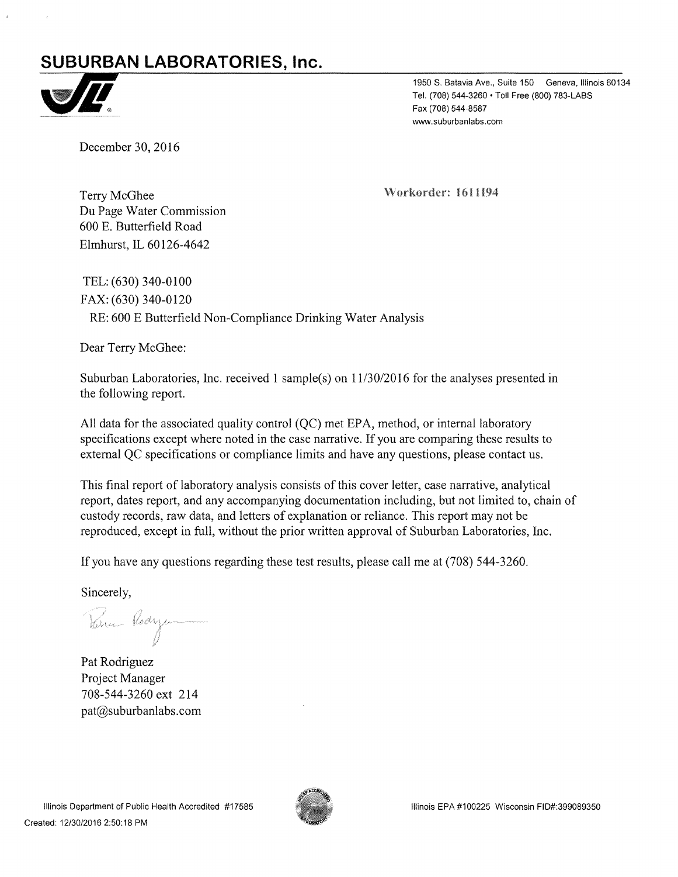# $SUBURBAN LABORATORIES, Inc.$



1950 S. Batavia Ave., Suite 150 Geneva, Illinois 60134 Tel. (708) 544-3260 • Toll Free (800) 783-LABS Fax (708) 544-8587 www.suburbanlabs.com

December 30, 2016

\/orkorder: 1611194

Terry McGhee Du Page Water Commission 600 E. Butterfield Road Elmhurst, IL 60126-4642

TEL: (630) 340-0100 FAX: (630) 340-0120 RE: 600 E Butterfield Non-Compliance Drinking Water Analysis

Dear Terry McGhee:

Suburban Laboratories, Inc. received 1 sample(s) on 11/30/2016 for the analyses presented in the following report.

All data for the associated quality control (QC) met EPA, method, or internal laboratory specifications except where noted in the case narrative. If you are comparing these results to external QC specifications or compliance limits and have any questions, please contact us.

This final report of laboratory analysis consists of this cover letter, case narrative, analytical report, dates report, and any accompanying documentation including, but not limited to, chain of custody records, raw data, and letters of explanation or reliance. This report may not be reproduced, except in full, without the prior written approval of Suburban Laboratories, Inc.

If you have any questions regarding these test results, please call me at (708) 544-3260.

Sincerely,

Veru Rodys

Pat Rodriguez Project Manager 708-544-3260 ext 214 pat@suburbanlabs.com

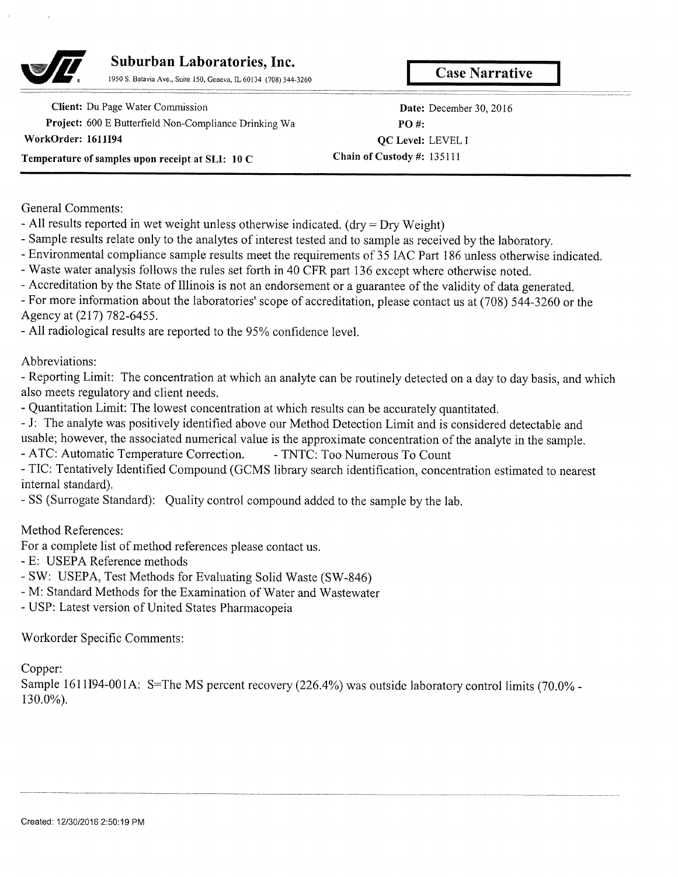

# **Suburban Laboratories, Inc. 1950 S. Batavia Ave.**, Suite 150, Geneva, IL 60134 (708) 544-3260

## Client: Du Page Water Commission Project: 600 E Butterfield Non-Compliance Drinking Wa **WorkOrder: 1611194 Temperature of samples upon receipt at SLI: 10 C**

**Date: December 30, 2016 PO #: QC Level: LEVEL I Chain of Custody #: 135111** 

General Comments:

- All results reported in wet weight unless otherwise indicated. (dry = Dry Weight)

- Sample results relate only to the analytes of interest tested and to sample as received by the laboratory.

- Environmental compliance sample results meet the requirements of 35 IAC Part 186 unless otherwise indicated.

- Waste water analysis follows the rules set forth in 40 CFR part 136 except where otherwise noted.

- Accreditation by the State of Illinois is not an endorsement or a guarantee of the validity of data generated.

- For more information about the laboratories' scope of accreditation, please contact us at (708) *544-3260* or the Agency at (217) *782-6455.* 

- All radiological results are reported to the *95%* confidence level.

Abbreviations:

- Reporting Limit: The concentration at which an analyte can be routinely detected on a day to day basis, and which also meets regulatory and client needs.

- Quantitation Limit: The lowest concentration at which results can be accurately quantitated.

- J: The analyte was positively identified above our Method Detection Limit and is considered detectable and

usable; however, the associated numerical value is the approximate concentration of the analyte in the sample.

- ATC: Automatic Temperature Correction. - TNTC: Too Numerous To Count

- TIC: Tentatively Identified Compound (GCMS library search identification, concentration estimated to nearest internal standard).

- SS (Surrogate Standard): Quality control compound added to the sample by the lab.

Method References:

For a complete list of method references please contact us.

- E: USEPA Reference methods

- SW: USEPA, Test Methods for Evaluating Solid Waste (SW-846)

- M: Standard Methods for the Examination of Water and Wastewater

- USP: Latest version of United States Pharmacopeia

Workorder Specific Comments:

Copper:

Sample 1611I94-001A: S=The MS percent recovery (226.4%) was outside laboratory control limits (70.0% -130.0%).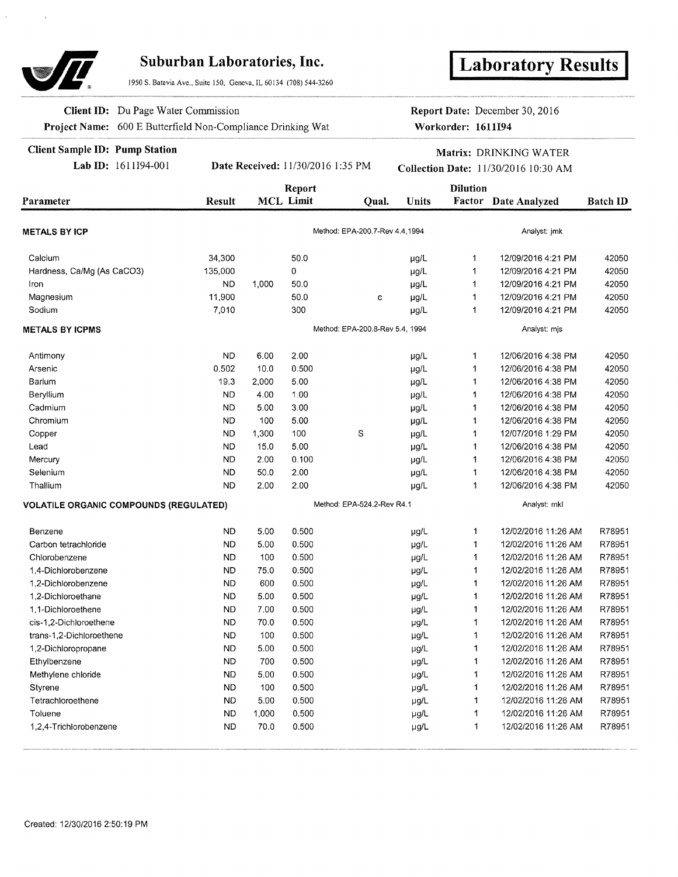

## **Suburban Laboratories, Inc.**

1950 S. Batavia Ave., Suite 150, Geneva, IL *60134* (708) 544-3260

# **Laboratory Results**

**Client ID:** Du Page Water Commission Project Name: 600 E Butterfield Non-Compliance Drinking Wat **Report Date:** December 30, 2016 **Workorder: 1611194** 

**I**

### **Client Sample ID: Pump Station**

Lab ID: 1611194-001 **Date Received:** 11/30/2016 *1:35* PM

#### **Matrix: DRINKING WATER**  Collection Date: 11/30/2016 10:30 AM

|                                               |               |       | Report           |                                 |              | <b>Dilution</b> |                     |                 |
|-----------------------------------------------|---------------|-------|------------------|---------------------------------|--------------|-----------------|---------------------|-----------------|
| Parameter                                     | <b>Result</b> |       | <b>MCL Limit</b> | Oual.                           | <b>Units</b> | Factor          | Date Analyzed       | <b>Batch ID</b> |
|                                               |               |       |                  |                                 |              |                 |                     |                 |
| <b>METALS BY ICP</b>                          |               |       |                  | Method: EPA-200.7-Rev 4.4,1994  |              |                 | Analyst: jmk        |                 |
| Calcium                                       | 34,300        |       | 50.0             |                                 | µg/L         | 1               | 12/09/2016 4:21 PM  | 42050           |
| Hardness, Ca/Mg (As CaCO3)                    | 135,000       |       | 0                |                                 | µg/L         | 1               | 12/09/2016 4:21 PM  | 42050           |
| Iron                                          | <b>ND</b>     | 1,000 | 50.0             |                                 | µg/L         | 1               | 12/09/2016 4:21 PM  | 42050           |
| Magnesium                                     | 11,900        |       | 50.0             | C                               | µg/L         | 1               | 12/09/2016 4:21 PM  | 42050           |
| Sodium                                        | 7,010         |       | 300              |                                 | $\mu g/L$    | 1               | 12/09/2016 4:21 PM  | 42050           |
| <b>METALS BY ICPMS</b>                        |               |       |                  | Method: EPA-200.8-Rev 5.4, 1994 |              |                 | Analyst: mjs        |                 |
| Antimony                                      | <b>ND</b>     | 6.00  | 2.00             |                                 | µg/L         | 1               | 12/06/2016 4:38 PM  | 42050           |
| Arsenic                                       | 0.502         | 10.0  | 0.500            |                                 | µg/L         | 1               | 12/06/2016 4:38 PM  | 42050           |
| Barium                                        | 19.3          | 2.000 | 5.00             |                                 | $\mu$ g/L    | 1               | 12/06/2016 4:38 PM  | 42050           |
| Beryllium                                     | <b>ND</b>     | 4.00  | 1.00             |                                 | $\mu$ g/L    | 1               | 12/06/2016 4:38 PM  | 42050           |
| Cadmium                                       | <b>ND</b>     | 5.00  | 3.00             |                                 | µg/L         | 1               | 12/06/2016 4:38 PM  | 42050           |
| Chromium                                      | <b>ND</b>     | 100   | 5.00             |                                 | µg/L         | $\ddagger$      | 12/06/2016 4:38 PM  | 42050           |
| Copper                                        | <b>ND</b>     | 1,300 | 100              | $\mathbb S$                     | µg/L         | 1               | 12/07/2016 1:29 PM  | 42050           |
| Lead                                          | <b>ND</b>     | 15.0  | 5.00             |                                 | µg/L         | $\mathbf{1}$    | 12/06/2016 4:38 PM  | 42050           |
| Mercury                                       | <b>ND</b>     | 2.00  | 0.100            |                                 | µg/L         | 1               | 12/06/2016 4:38 PM  | 42050           |
| Selenium                                      | <b>ND</b>     | 50.0  | 2.00             |                                 | µg/L         | 1               | 12/06/2016 4:38 PM  | 42050           |
| Thallium                                      | <b>ND</b>     | 2.00  | 2.00             |                                 | µg/L         | 1               | 12/06/2016 4:38 PM  | 42050           |
| <b>VOLATILE ORGANIC COMPOUNDS (REGULATED)</b> |               |       |                  | Method: EPA-524.2-Rev R4.1      |              |                 | Analyst: mkl        |                 |
| Benzene                                       | <b>ND</b>     | 5.00  | 0.500            |                                 | µg/L         | 1               | 12/02/2016 11:26 AM | R78951          |
| Carbon tetrachloride                          | <b>ND</b>     | 5.00  | 0.500            |                                 | µg/L         | 1               | 12/02/2016 11:26 AM | R78951          |
| Chlorobenzene                                 | <b>ND</b>     | 100   | 0.500            |                                 | µg/L         | 1               | 12/02/2016 11:26 AM | R78951          |
| 1,4-Dichlorobenzene                           | <b>ND</b>     | 75.0  | 0.500            |                                 | µg/L         | 1               | 12/02/2016 11:26 AM | R78951          |
| 1,2-Dichlorobenzene                           | <b>ND</b>     | 600   | 0.500            |                                 | µg/L         | 1               | 12/02/2016 11:26 AM | R78951          |
| 1,2-Dichloroethane                            | <b>ND</b>     | 5.00  | 0.500            |                                 | µg/L         | 1               | 12/02/2016 11:26 AM | R78951          |
| 1.1-Dichloroethene                            | <b>ND</b>     | 7.00  | 0.500            |                                 | µg/L         | 1               | 12/02/2016 11:26 AM | R78951          |
| cis-1,2-Dichloroethene                        | <b>ND</b>     | 70.0  | 0.500            |                                 | µg/L         | 1               | 12/02/2016 11:26 AM | R78951          |
| trans-1,2-Dichloroethene                      | <b>ND</b>     | 100   | 0.500            |                                 | µg/L         | 1               | 12/02/2016 11:26 AM | R78951          |
| 1,2-Dichloropropane                           | <b>ND</b>     | 5.00  | 0.500            |                                 | µg/L         | 1               | 12/02/2016 11:26 AM | R78951          |
| Ethylbenzene                                  | <b>ND</b>     | 700   | 0.500            |                                 | $\mu g/L$    | 1               | 12/02/2016 11:26 AM | R78951          |
| Methylene chloride                            | <b>ND</b>     | 5.00  | 0.500            |                                 | µg/L         | 1               | 12/02/2016 11:26 AM | R78951          |
| Styrene                                       | <b>ND</b>     | 100   | 0.500            |                                 | ug/L         | 1               | 12/02/2016 11:26 AM | R78951          |
| Tetrachloroethene                             | <b>ND</b>     | 5.00  | 0.500            |                                 | $\mu g/L$    | 1               | 12/02/2016 11:26 AM | R78951          |
| Toluene                                       | <b>ND</b>     | 1,000 | 0.500            |                                 | µg/L         | 1               | 12/02/2016 11:26 AM | R78951          |
| 1.2.4-Trichlorobenzene                        | <b>ND</b>     | 70.0  | 0.500            |                                 | µg/L         | $\mathbf{1}$    | 12/02/2016 11:26 AM | R78951          |
|                                               |               |       |                  |                                 |              |                 |                     |                 |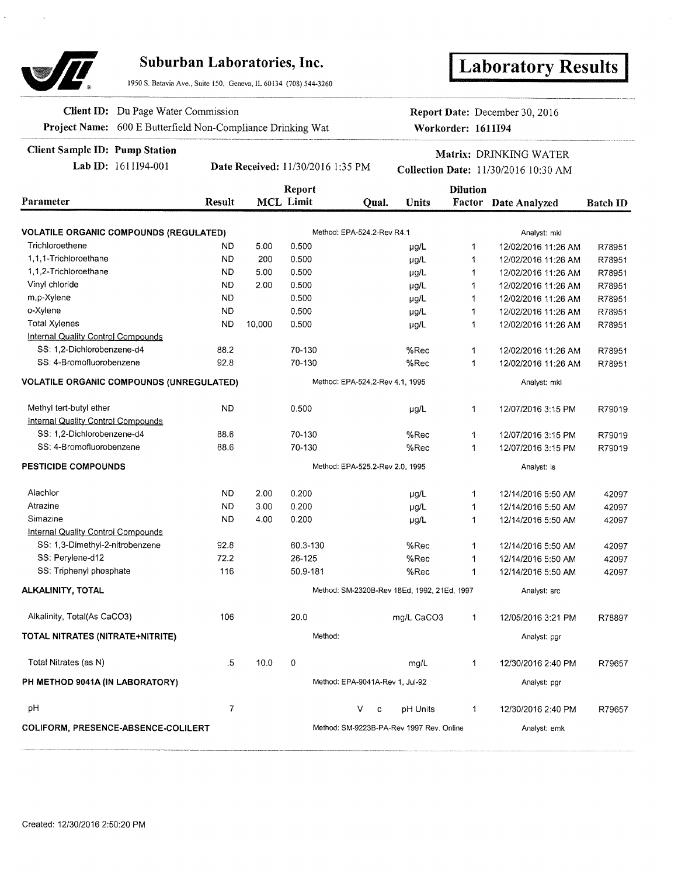

## **Suburban Laboratories, Inc.**

1950 S. Batavia Ave. Suite 150, Geneva, IL 60134 (708) 544-3260

# **I Laboratory Results**

**Client ID:** Du Page Water Commission **Report Date:** December 30, 2016 **Project Name:** 600 E Butterfield Non-Compliance Drinking Wat **Workorder: 1611194** 

**Client Sample ID: Pump Station**<br> **Collection Date:** 11/30/2016 1:35 PM<br> **Collection Date:** 11/30/2016 10:30 AM<br> **Collection Date:** 11/30/2016 10:30 AM **Collection Date:**  $11/30/2016$  **10:30 AM** 

|                                                 | Report         |                                 |                  |                                 |                                             | <b>Dilution</b> |                      |                 |  |  |  |
|-------------------------------------------------|----------------|---------------------------------|------------------|---------------------------------|---------------------------------------------|-----------------|----------------------|-----------------|--|--|--|
| Parameter                                       | <b>Result</b>  |                                 | <b>MCL Limit</b> | Oual.                           | <b>Units</b>                                |                 | Factor Date Analyzed | <b>Batch ID</b> |  |  |  |
|                                                 |                |                                 |                  |                                 |                                             |                 |                      |                 |  |  |  |
| <b>VOLATILE ORGANIC COMPOUNDS (REGULATED)</b>   |                |                                 |                  | Method: EPA-524.2-Rev R4.1      |                                             |                 | Analyst: mkl         |                 |  |  |  |
| Trichloroethene                                 | <b>ND</b>      | 5.00                            | 0.500            |                                 | µg/L                                        | 1               | 12/02/2016 11:26 AM  | R78951          |  |  |  |
| 1,1,1-Trichloroethane                           | <b>ND</b>      | 200                             | 0.500            |                                 | µg/L                                        | 1               | 12/02/2016 11:26 AM  | R78951          |  |  |  |
| 1.1.2-Trichloroethane                           | <b>ND</b>      | 5.00                            | 0.500            |                                 | µg/L                                        | 1               | 12/02/2016 11:26 AM  | R78951          |  |  |  |
| Vinyl chloride                                  | <b>ND</b>      | 2.00                            | 0.500            |                                 | $\mu$ g/L                                   | 1               | 12/02/2016 11:26 AM  | R78951          |  |  |  |
| m,p-Xylene                                      | <b>ND</b>      |                                 | 0.500            |                                 | $\mu$ g/L                                   | 1               | 12/02/2016 11:26 AM  | R78951          |  |  |  |
| o-Xylene                                        | <b>ND</b>      |                                 | 0.500            |                                 | µg/L                                        | 1               | 12/02/2016 11:26 AM  | R78951          |  |  |  |
| <b>Total Xylenes</b>                            | <b>ND</b>      | 10,000                          | 0.500            |                                 | µg/L                                        | 1               | 12/02/2016 11:26 AM  | R78951          |  |  |  |
| <b>Internal Quality Control Compounds</b>       |                |                                 |                  |                                 |                                             |                 |                      |                 |  |  |  |
| SS: 1,2-Dichlorobenzene-d4                      | 88.2           |                                 | 70-130           |                                 | %Rec                                        | 1               | 12/02/2016 11:26 AM  | R78951          |  |  |  |
| SS: 4-Bromofluorobenzene                        | 92.8           |                                 | 70-130           |                                 | %Rec                                        | 1               | 12/02/2016 11:26 AM  | R78951          |  |  |  |
| <b>VOLATILE ORGANIC COMPOUNDS (UNREGULATED)</b> |                |                                 |                  | Method: EPA-524.2-Rev 4.1, 1995 |                                             |                 | Analyst: mkl         |                 |  |  |  |
| Methyl tert-butyl ether                         | <b>ND</b>      |                                 | 0.500            |                                 | µg/L                                        | 1               | 12/07/2016 3:15 PM   | R79019          |  |  |  |
| <b>Internal Quality Control Compounds</b>       |                |                                 |                  |                                 |                                             |                 |                      |                 |  |  |  |
| SS: 1,2-Dichlorobenzene-d4                      | 88.6           |                                 | 70-130           |                                 | %Rec                                        | 1               | 12/07/2016 3:15 PM   | R79019          |  |  |  |
| SS: 4-Bromofluorobenzene                        | 88.6           |                                 | 70-130           |                                 | %Rec                                        | $\mathbf{1}$    | 12/07/2016 3:15 PM   | R79019          |  |  |  |
| <b>PESTICIDE COMPOUNDS</b>                      |                | Method: EPA-525.2-Rev 2.0, 1995 |                  |                                 |                                             |                 | Analyst: Is          |                 |  |  |  |
| Alachlor                                        | ND.            | 2.00                            | 0.200            |                                 | $\mu$ g/L                                   | 1               | 12/14/2016 5:50 AM   | 42097           |  |  |  |
| Atrazine                                        | <b>ND</b>      | 3.00                            | 0.200            |                                 | $\mu$ g/L                                   | $\mathbf{1}$    | 12/14/2016 5:50 AM   | 42097           |  |  |  |
| Simazine                                        | <b>ND</b>      | 4.00                            | 0.200            |                                 | $\mu$ g/L                                   | 1               | 12/14/2016 5:50 AM   | 42097           |  |  |  |
| <b>Internal Quality Control Compounds</b>       |                |                                 |                  |                                 |                                             |                 |                      |                 |  |  |  |
| SS: 1,3-Dimethyl-2-nitrobenzene                 | 92.8           |                                 | 60.3-130         |                                 | %Rec                                        | $\mathbf{1}$    | 12/14/2016 5:50 AM   | 42097           |  |  |  |
| SS: Pervlene-d12                                | 72.2           |                                 | 26-125           |                                 | %Rec                                        | $\mathbf 1$     | 12/14/2016 5:50 AM   | 42097           |  |  |  |
| SS: Triphenyl phosphate                         | 116            |                                 | 50.9-181         |                                 | %Rec                                        | $\mathbf{1}$    | 12/14/2016 5:50 AM   | 42097           |  |  |  |
| ALKALINITY, TOTAL                               |                |                                 |                  |                                 | Method: SM-2320B-Rev 18Ed, 1992, 21Ed, 1997 |                 | Analyst: src         |                 |  |  |  |
| Alkalinity, Total(As CaCO3)                     | 106            |                                 | 20.0             |                                 | mg/L CaCO3                                  | 1               | 12/05/2016 3:21 PM   | R78897          |  |  |  |
| TOTAL NITRATES (NITRATE+NITRITE)                |                |                                 |                  | Method:                         |                                             |                 | Analyst: pgr         |                 |  |  |  |
| Total Nitrates (as N)                           | .5             | 10.0                            | 0                |                                 | mg/L                                        | $\mathbf{1}$    | 12/30/2016 2:40 PM   | R79657          |  |  |  |
| PH METHOD 9041A (IN LABORATORY)                 |                |                                 |                  | Method: EPA-9041A-Rev 1, Jul-92 |                                             |                 | Analyst: pgr         |                 |  |  |  |
| рH                                              | $\overline{7}$ |                                 |                  | V                               | pH Units<br>c                               | $\mathbf{1}$    | 12/30/2016 2:40 PM   | R79657          |  |  |  |
| COLIFORM, PRESENCE-ABSENCE-COLILERT             |                |                                 |                  |                                 | Method: SM-9223B-PA-Rev 1997 Rev. Online    |                 | Analyst: emk         |                 |  |  |  |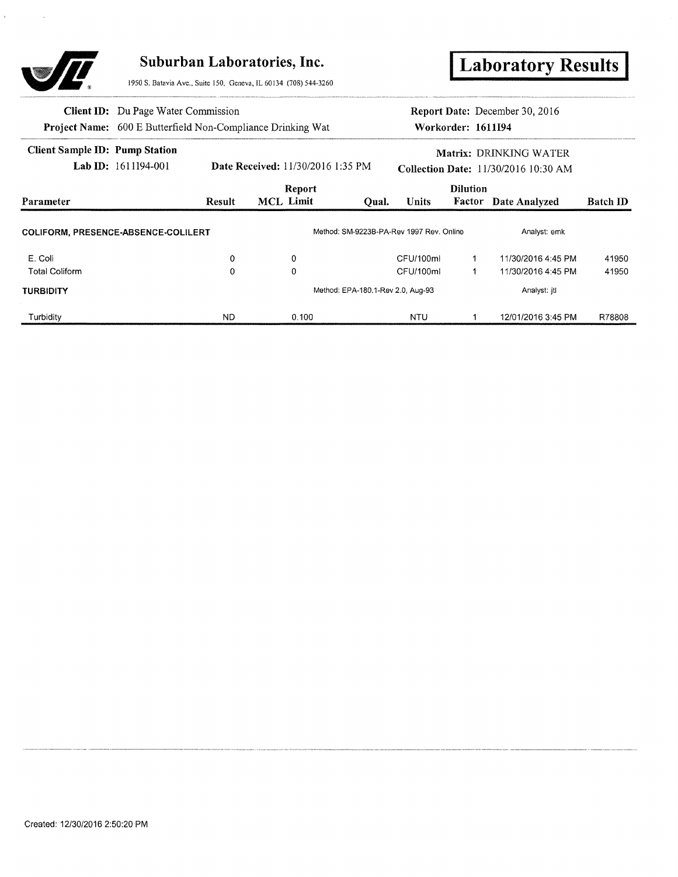

**I** Laboratory Results

950 S. Batavia Ave., Suite 150, Geneva, IL 60134 (708) 544-3260

|                                            | <b>Client ID:</b> Du Page Water Commission |               | <b>Project Name:</b> 600 E Butterfield Non-Compliance Drinking Wat |                                   |                                          | Workorder: 1611I94                                                    | <b>Report Date:</b> December 30, 2016 |                 |
|--------------------------------------------|--------------------------------------------|---------------|--------------------------------------------------------------------|-----------------------------------|------------------------------------------|-----------------------------------------------------------------------|---------------------------------------|-----------------|
| <b>Client Sample ID: Pump Station</b>      | Lab ID: $1611194-001$                      |               | <b>Date Received: 11/30/2016 1:35 PM</b>                           |                                   |                                          | Matrix: DRINKING WATER<br><b>Collection Date:</b> 11/30/2016 10:30 AM |                                       |                 |
| Parameter                                  |                                            | <b>Result</b> | Report<br>MCL Limit                                                | Oual.                             | <b>Units</b>                             | <b>Dilution</b>                                                       | <b>Factor</b> Date Analyzed           | <b>Batch ID</b> |
| <b>COLIFORM, PRESENCE-ABSENCE-COLILERT</b> |                                            |               |                                                                    |                                   | Method: SM-9223B-PA-Rev 1997 Rev. Online |                                                                       | Analyst: emk                          |                 |
| E. Coli                                    |                                            | 0             | 0                                                                  |                                   | CFU/100ml                                |                                                                       | 11/30/2016 4:45 PM                    | 41950           |
| <b>Total Coliform</b>                      |                                            | 0             | 0                                                                  |                                   | CFU/100ml                                |                                                                       | 11/30/2016 4:45 PM                    | 41950           |
| <b>TURBIDITY</b>                           |                                            |               |                                                                    | Method: EPA-180.1-Rev 2.0, Aug-93 |                                          |                                                                       | Analyst: itl                          |                 |
| Turbidity                                  |                                            | <b>ND</b>     | 0.100                                                              |                                   | <b>NTU</b>                               |                                                                       | 12/01/2016 3:45 PM                    | R78808          |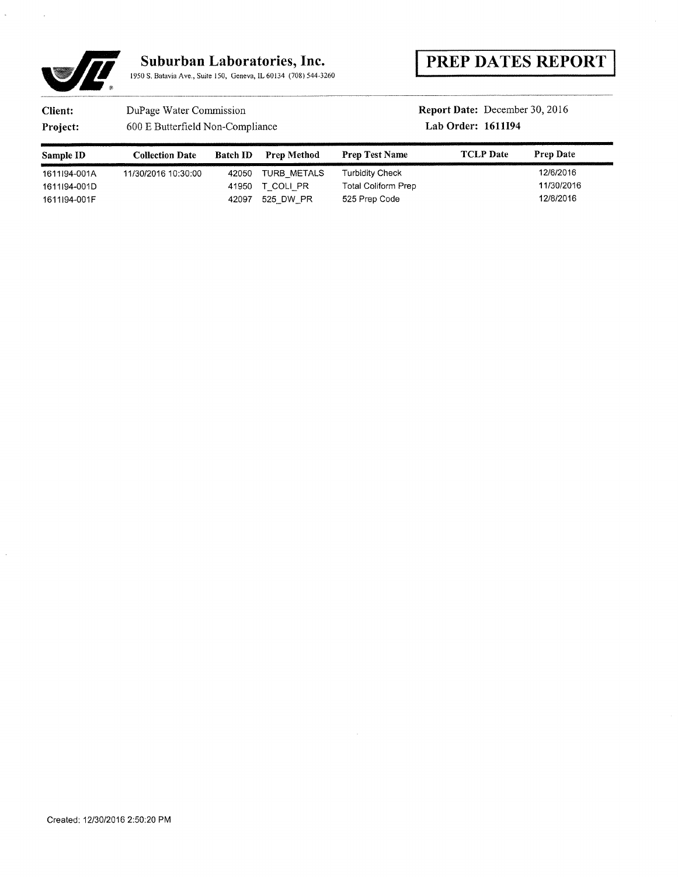

## PREP **DATES** REPORT

## **Client:** DuPage Water Commission **Report Date: December 30, 2016**

Project: 600 E Butterfield Non-Compliance Lab Order: 1611194

| Sample ID    | <b>Collection Date</b> | <b>Batch ID</b><br>and the first control of the control of the control of the control of the control of the control of the control of the control of the control of the control of the control of the control of the control of the control of th | <b>Prep Method</b> | <b>Prep Test Name</b>      | <b>TCLP</b> Date | <b>Prep Date</b> |
|--------------|------------------------|---------------------------------------------------------------------------------------------------------------------------------------------------------------------------------------------------------------------------------------------------|--------------------|----------------------------|------------------|------------------|
| 1611I94-001A | 11/30/2016 10:30:00    | 42050                                                                                                                                                                                                                                             | TURB METALS        | Turbidity Check            |                  | 12/6/2016        |
| 1611I94-001D |                        | 41950                                                                                                                                                                                                                                             | T COLI PR          | <b>Total Coliform Prep</b> |                  | 11/30/2016       |
| 1611I94-001F |                        | 42097                                                                                                                                                                                                                                             | 525 DW PR          | 525 Prep Code              |                  | 12/8/2016        |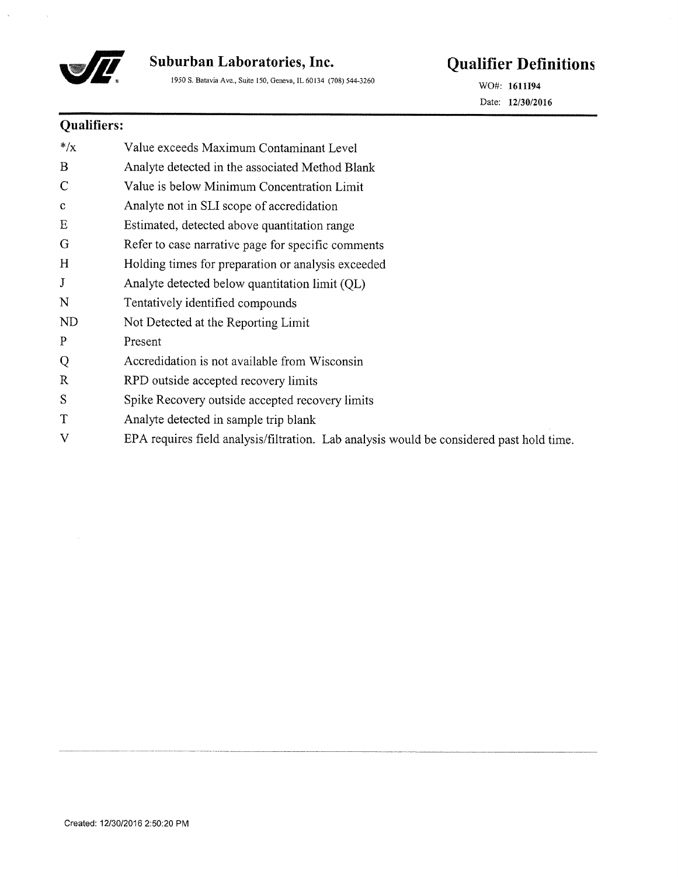

1950 S. Batavia Ave., Suite *150,* Geneva, IL 60134 (708) 544-3260 WO#: **<sup>1611194</sup>**

# **Suburban Laboratories, Inc. Qualifier Definitions**

Date: *12/30/2016* 

## **Qualifiers:**

| $*/x$        | Value exceeds Maximum Contaminant Level                                                  |
|--------------|------------------------------------------------------------------------------------------|
| B            | Analyte detected in the associated Method Blank                                          |
| $\mathsf{C}$ | Value is below Minimum Concentration Limit                                               |
| $\mathbf{c}$ | Analyte not in SLI scope of accredidation                                                |
| Ε            | Estimated, detected above quantitation range                                             |
| G            | Refer to case narrative page for specific comments                                       |
| H            | Holding times for preparation or analysis exceeded                                       |
| J            | Analyte detected below quantitation limit (QL)                                           |
| N            | Tentatively identified compounds                                                         |
| <b>ND</b>    | Not Detected at the Reporting Limit                                                      |
| $\mathbf{P}$ | Present                                                                                  |
| Q            | Accredidation is not available from Wisconsin                                            |
| $\mathbb{R}$ | RPD outside accepted recovery limits                                                     |
| S            | Spike Recovery outside accepted recovery limits                                          |
| T            | Analyte detected in sample trip blank                                                    |
| V            | EPA requires field analysis/filtration. Lab analysis would be considered past hold time. |